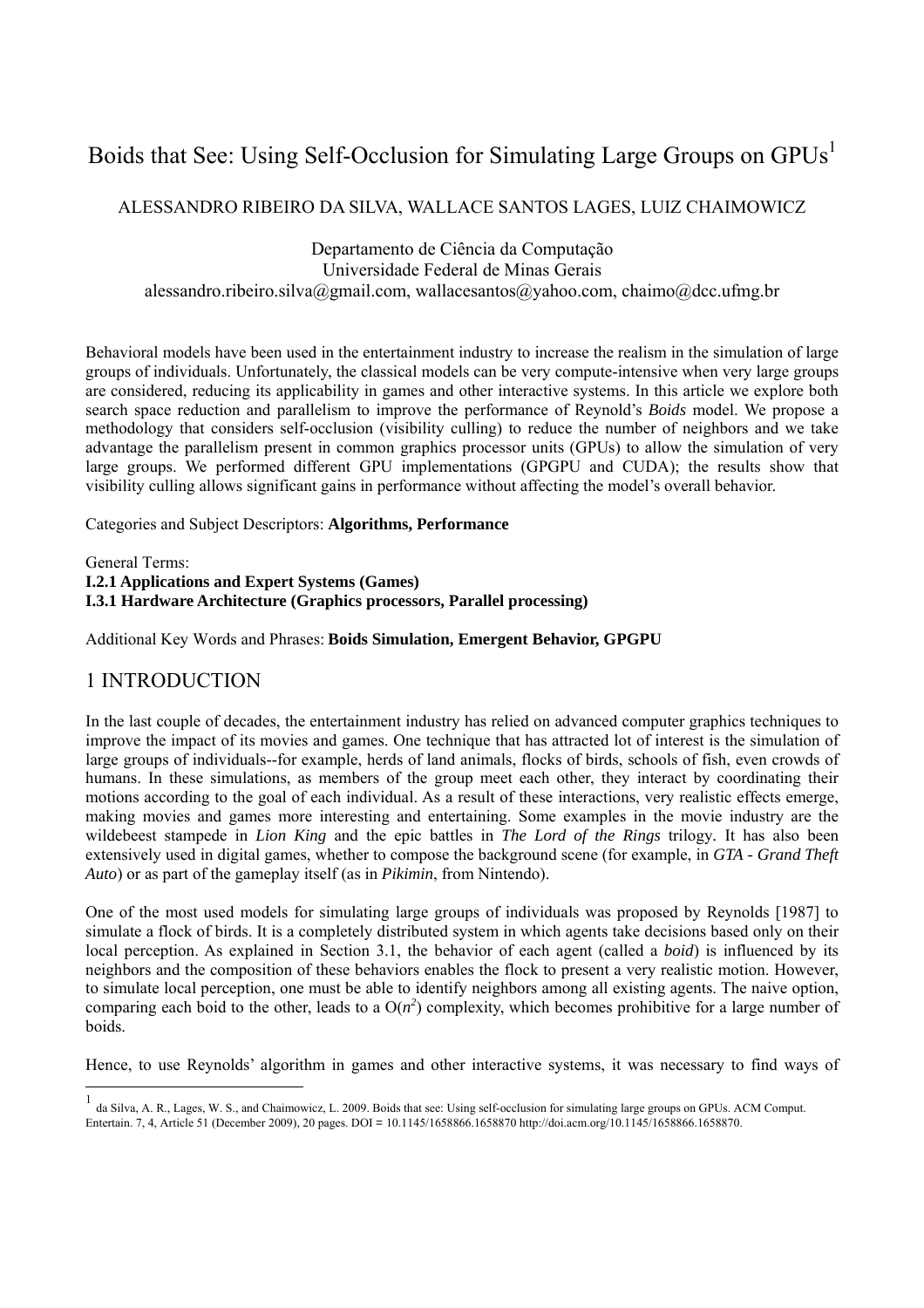# Boids that See: Using Self-Occlusion for Simulating Large Groups on GPUs<sup>1</sup>

### ALESSANDRO RIBEIRO DA SILVA, WALLACE SANTOS LAGES, LUIZ CHAIMOWICZ

Departamento de Ciência da Computação Universidade Federal de Minas Gerais alessandro.ribeiro.silva@gmail.com, wallacesantos@yahoo.com, chaimo@dcc.ufmg.br

Behavioral models have been used in the entertainment industry to increase the realism in the simulation of large groups of individuals. Unfortunately, the classical models can be very compute-intensive when very large groups are considered, reducing its applicability in games and other interactive systems. In this article we explore both search space reduction and parallelism to improve the performance of Reynold's *Boids* model. We propose a methodology that considers self-occlusion (visibility culling) to reduce the number of neighbors and we take advantage the parallelism present in common graphics processor units (GPUs) to allow the simulation of very large groups. We performed different GPU implementations (GPGPU and CUDA); the results show that visibility culling allows significant gains in performance without affecting the model's overall behavior.

Categories and Subject Descriptors: **Algorithms, Performance**

General Terms: **I.2.1 Applications and Expert Systems (Games) I.3.1 Hardware Architecture (Graphics processors, Parallel processing)** 

Additional Key Words and Phrases: **Boids Simulation, Emergent Behavior, GPGPU**

### 1 INTRODUCTION

In the last couple of decades, the entertainment industry has relied on advanced computer graphics techniques to improve the impact of its movies and games. One technique that has attracted lot of interest is the simulation of large groups of individuals--for example, herds of land animals, flocks of birds, schools of fish, even crowds of humans. In these simulations, as members of the group meet each other, they interact by coordinating their motions according to the goal of each individual. As a result of these interactions, very realistic effects emerge, making movies and games more interesting and entertaining. Some examples in the movie industry are the wildebeest stampede in *Lion King* and the epic battles in *The Lord of the Rings* trilogy*.* It has also been extensively used in digital games, whether to compose the background scene (for example, in *GTA - Grand Theft Auto*) or as part of the gameplay itself (as in *Pikimin*, from Nintendo).

One of the most used models for simulating large groups of individuals was proposed by Reynolds [1987] to simulate a flock of birds. It is a completely distributed system in which agents take decisions based only on their local perception. As explained in Section 3.1, the behavior of each agent (called a *boid*) is influenced by its neighbors and the composition of these behaviors enables the flock to present a very realistic motion. However, to simulate local perception, one must be able to identify neighbors among all existing agents. The naive option, comparing each boid to the other, leads to a  $O(n^2)$  complexity, which becomes prohibitive for a large number of boids.

Hence, to use Reynolds' algorithm in games and other interactive systems, it was necessary to find ways of

<sup>1</sup> da Silva, A. R., Lages, W. S., and Chaimowicz, L. 2009. Boids that see: Using self-occlusion for simulating large groups on GPUs. ACM Comput. Entertain. 7, 4, Article 51 (December 2009), 20 pages. DOI = 10.1145/1658866.1658870 http://doi.acm.org/10.1145/1658866.1658870.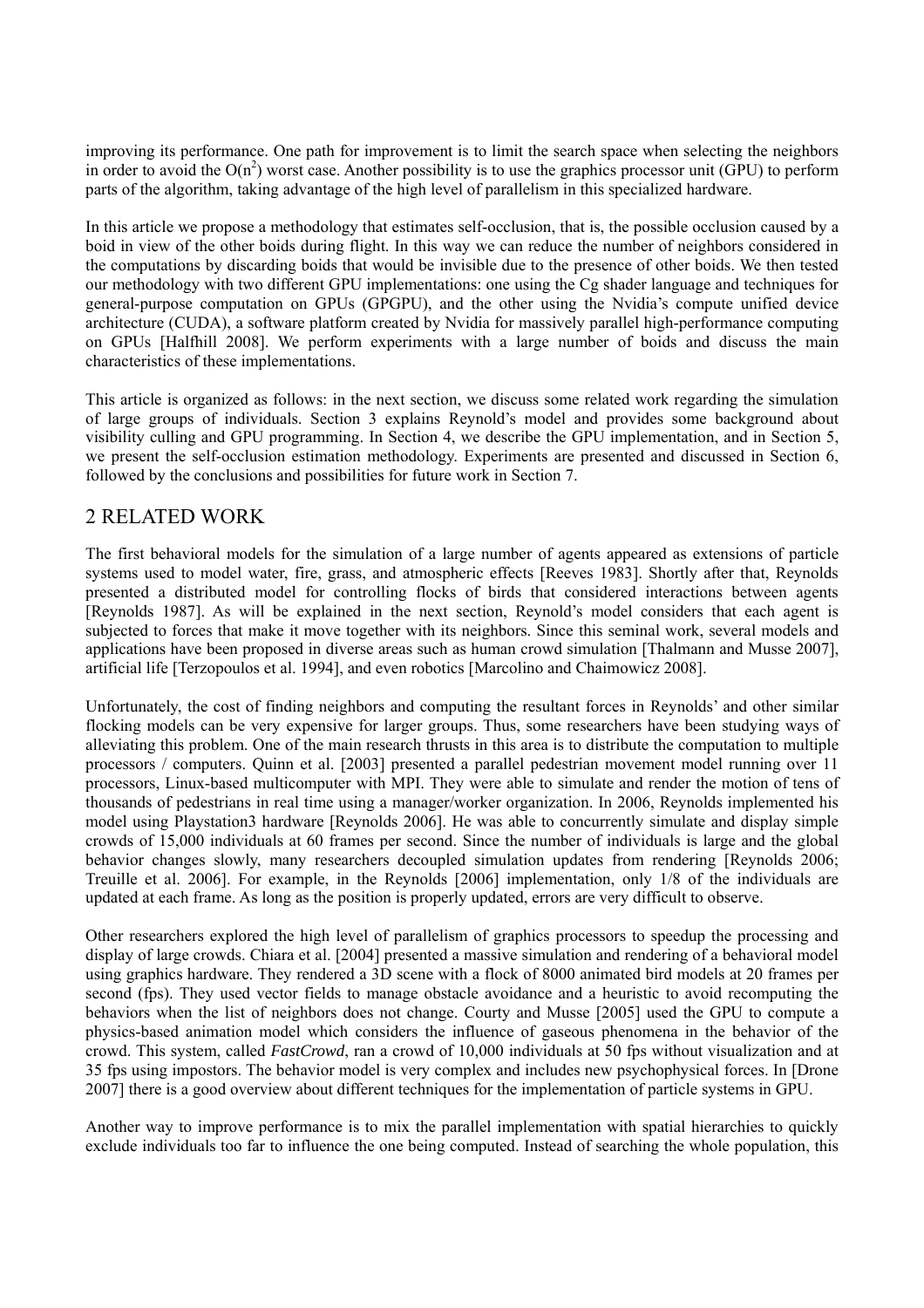improving its performance. One path for improvement is to limit the search space when selecting the neighbors in order to avoid the  $O(n^2)$  worst case. Another possibility is to use the graphics processor unit (GPU) to perform parts of the algorithm, taking advantage of the high level of parallelism in this specialized hardware.

In this article we propose a methodology that estimates self-occlusion, that is, the possible occlusion caused by a boid in view of the other boids during flight. In this way we can reduce the number of neighbors considered in the computations by discarding boids that would be invisible due to the presence of other boids. We then tested our methodology with two different GPU implementations: one using the Cg shader language and techniques for general-purpose computation on GPUs (GPGPU), and the other using the Nvidia's compute unified device architecture (CUDA), a software platform created by Nvidia for massively parallel high-performance computing on GPUs [Halfhill 2008]. We perform experiments with a large number of boids and discuss the main characteristics of these implementations.

This article is organized as follows: in the next section, we discuss some related work regarding the simulation of large groups of individuals. Section 3 explains Reynold's model and provides some background about visibility culling and GPU programming. In Section 4, we describe the GPU implementation, and in Section 5, we present the self-occlusion estimation methodology. Experiments are presented and discussed in Section 6, followed by the conclusions and possibilities for future work in Section 7.

## 2 RELATED WORK

The first behavioral models for the simulation of a large number of agents appeared as extensions of particle systems used to model water, fire, grass, and atmospheric effects [Reeves 1983]. Shortly after that, Reynolds presented a distributed model for controlling flocks of birds that considered interactions between agents [Reynolds 1987]. As will be explained in the next section, Reynold's model considers that each agent is subjected to forces that make it move together with its neighbors. Since this seminal work, several models and applications have been proposed in diverse areas such as human crowd simulation [Thalmann and Musse 2007], artificial life [Terzopoulos et al. 1994], and even robotics [Marcolino and Chaimowicz 2008].

Unfortunately, the cost of finding neighbors and computing the resultant forces in Reynolds' and other similar flocking models can be very expensive for larger groups. Thus, some researchers have been studying ways of alleviating this problem. One of the main research thrusts in this area is to distribute the computation to multiple processors / computers. Quinn et al. [2003] presented a parallel pedestrian movement model running over 11 processors, Linux-based multicomputer with MPI. They were able to simulate and render the motion of tens of thousands of pedestrians in real time using a manager/worker organization. In 2006, Reynolds implemented his model using Playstation3 hardware [Reynolds 2006]. He was able to concurrently simulate and display simple crowds of 15,000 individuals at 60 frames per second. Since the number of individuals is large and the global behavior changes slowly, many researchers decoupled simulation updates from rendering [Reynolds 2006; Treuille et al. 2006]. For example, in the Reynolds [2006] implementation, only 1/8 of the individuals are updated at each frame. As long as the position is properly updated, errors are very difficult to observe.

Other researchers explored the high level of parallelism of graphics processors to speedup the processing and display of large crowds. Chiara et al. [2004] presented a massive simulation and rendering of a behavioral model using graphics hardware. They rendered a 3D scene with a flock of 8000 animated bird models at 20 frames per second (fps). They used vector fields to manage obstacle avoidance and a heuristic to avoid recomputing the behaviors when the list of neighbors does not change. Courty and Musse [2005] used the GPU to compute a physics-based animation model which considers the influence of gaseous phenomena in the behavior of the crowd. This system, called *FastCrowd*, ran a crowd of 10,000 individuals at 50 fps without visualization and at 35 fps using impostors. The behavior model is very complex and includes new psychophysical forces. In [Drone 2007] there is a good overview about different techniques for the implementation of particle systems in GPU.

Another way to improve performance is to mix the parallel implementation with spatial hierarchies to quickly exclude individuals too far to influence the one being computed. Instead of searching the whole population, this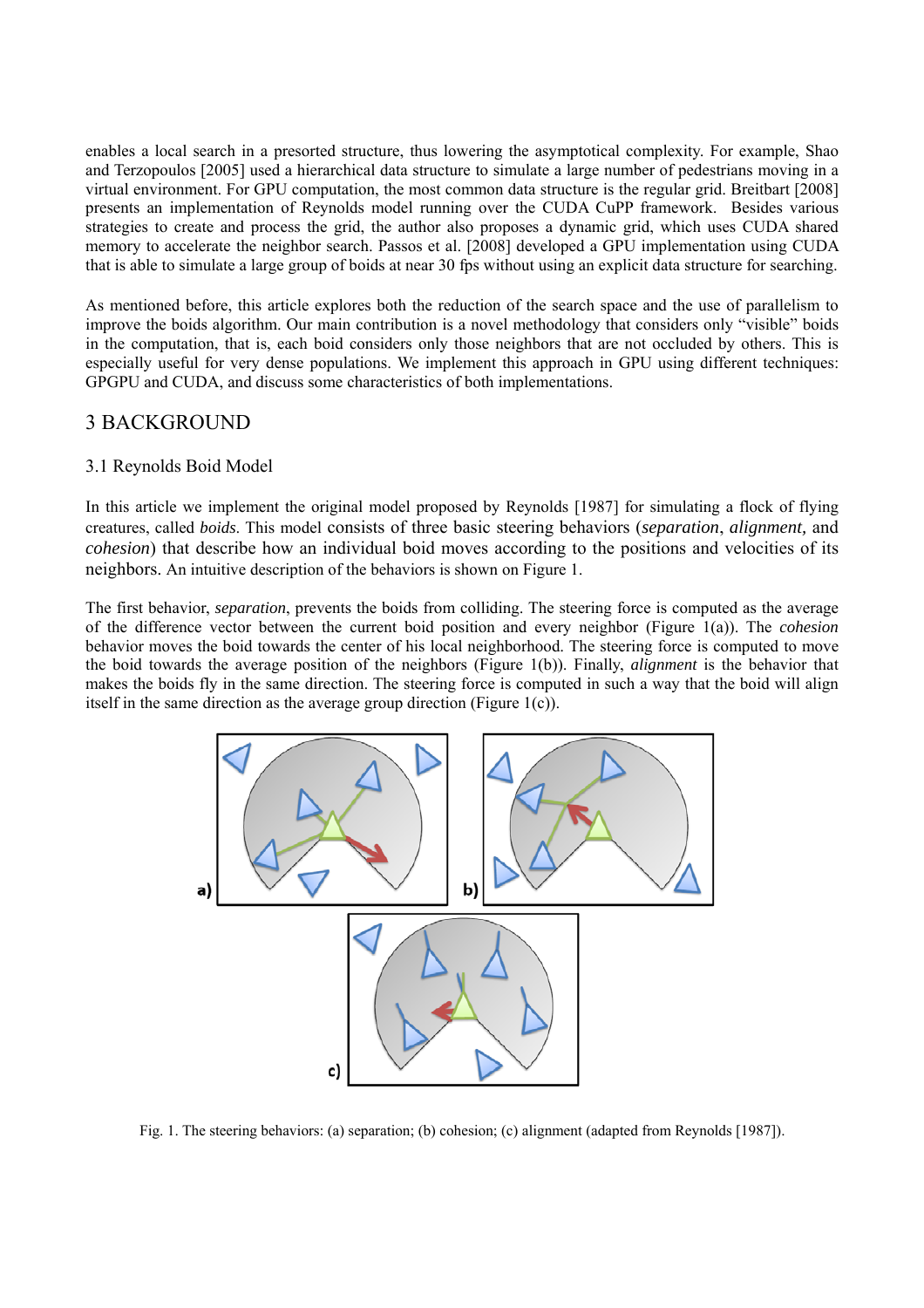enables a local search in a presorted structure, thus lowering the asymptotical complexity. For example, Shao and Terzopoulos [2005] used a hierarchical data structure to simulate a large number of pedestrians moving in a virtual environment. For GPU computation, the most common data structure is the regular grid. Breitbart [2008] presents an implementation of Reynolds model running over the CUDA CuPP framework. Besides various strategies to create and process the grid, the author also proposes a dynamic grid, which uses CUDA shared memory to accelerate the neighbor search. Passos et al. [2008] developed a GPU implementation using CUDA that is able to simulate a large group of boids at near 30 fps without using an explicit data structure for searching.

As mentioned before, this article explores both the reduction of the search space and the use of parallelism to improve the boids algorithm. Our main contribution is a novel methodology that considers only "visible" boids in the computation, that is, each boid considers only those neighbors that are not occluded by others. This is especially useful for very dense populations. We implement this approach in GPU using different techniques: GPGPU and CUDA, and discuss some characteristics of both implementations.

### 3 BACKGROUND

### 3.1 Reynolds Boid Model

In this article we implement the original model proposed by Reynolds [1987] for simulating a flock of flying creatures, called *boids*. This model consists of three basic steering behaviors (*separation*, *alignment,* and *cohesion*) that describe how an individual boid moves according to the positions and velocities of its neighbors. An intuitive description of the behaviors is shown on Figure 1.

The first behavior, *separation*, prevents the boids from colliding. The steering force is computed as the average of the difference vector between the current boid position and every neighbor (Figure 1(a)). The *cohesion* behavior moves the boid towards the center of his local neighborhood. The steering force is computed to move the boid towards the average position of the neighbors (Figure 1(b)). Finally, *alignment* is the behavior that makes the boids fly in the same direction. The steering force is computed in such a way that the boid will align itself in the same direction as the average group direction (Figure 1(c)).



Fig. 1. The steering behaviors: (a) separation; (b) cohesion; (c) alignment (adapted from Reynolds [1987]).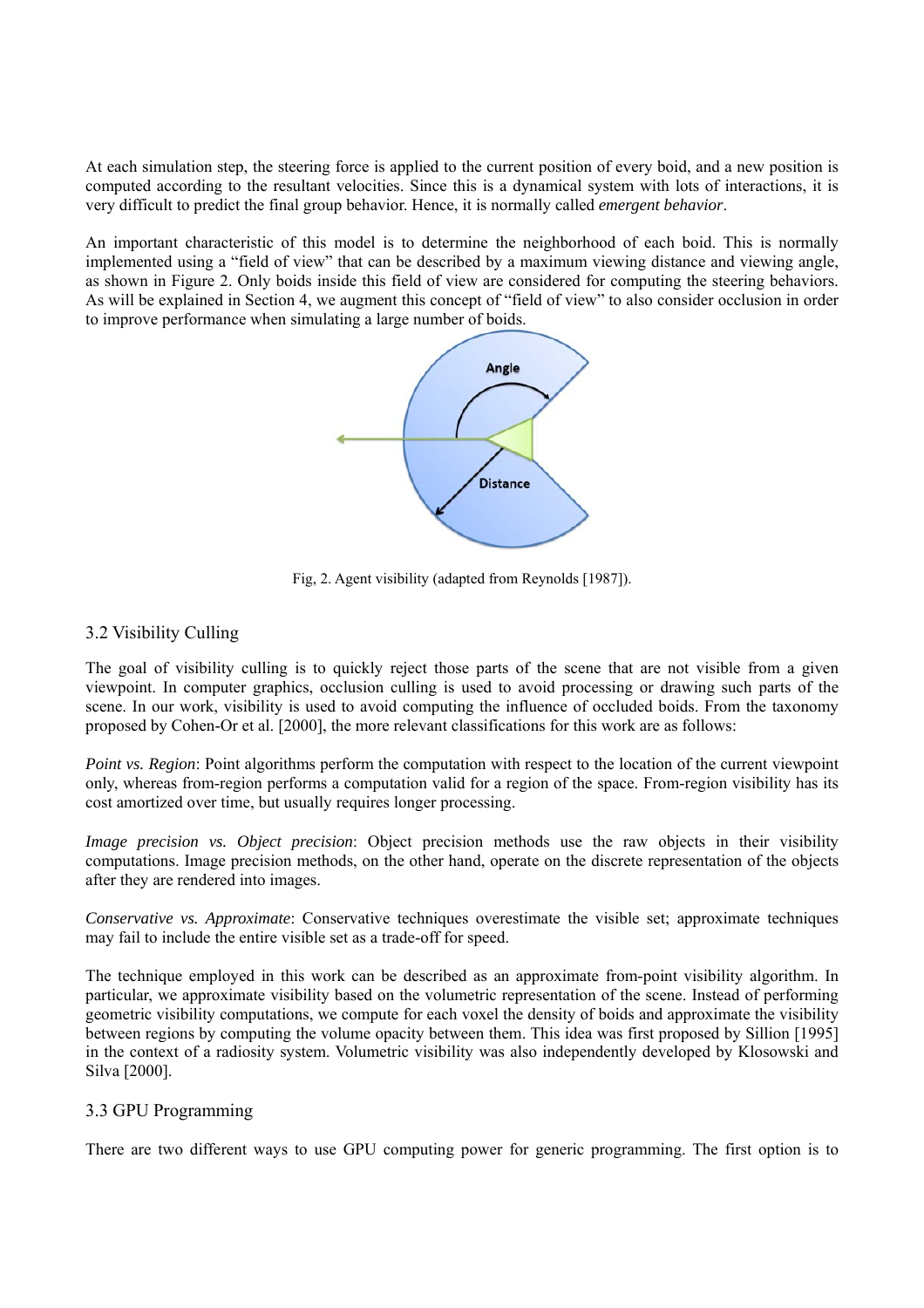At each simulation step, the steering force is applied to the current position of every boid, and a new position is computed according to the resultant velocities. Since this is a dynamical system with lots of interactions, it is very difficult to predict the final group behavior. Hence, it is normally called *emergent behavior*.

An important characteristic of this model is to determine the neighborhood of each boid. This is normally implemented using a "field of view" that can be described by a maximum viewing distance and viewing angle, as shown in Figure 2. Only boids inside this field of view are considered for computing the steering behaviors. As will be explained in Section 4, we augment this concept of "field of view" to also consider occlusion in order to improve performance when simulating a large number of boids.



Fig, 2. Agent visibility (adapted from Reynolds [1987]).

### 3.2 Visibility Culling

The goal of visibility culling is to quickly reject those parts of the scene that are not visible from a given viewpoint. In computer graphics, occlusion culling is used to avoid processing or drawing such parts of the scene. In our work, visibility is used to avoid computing the influence of occluded boids. From the taxonomy proposed by Cohen-Or et al. [2000], the more relevant classifications for this work are as follows:

*Point vs. Region*: Point algorithms perform the computation with respect to the location of the current viewpoint only, whereas from-region performs a computation valid for a region of the space. From-region visibility has its cost amortized over time, but usually requires longer processing.

*Image precision vs. Object precision*: Object precision methods use the raw objects in their visibility computations. Image precision methods, on the other hand, operate on the discrete representation of the objects after they are rendered into images.

*Conservative vs. Approximate*: Conservative techniques overestimate the visible set; approximate techniques may fail to include the entire visible set as a trade-off for speed.

The technique employed in this work can be described as an approximate from-point visibility algorithm. In particular, we approximate visibility based on the volumetric representation of the scene. Instead of performing geometric visibility computations, we compute for each voxel the density of boids and approximate the visibility between regions by computing the volume opacity between them. This idea was first proposed by Sillion [1995] in the context of a radiosity system. Volumetric visibility was also independently developed by Klosowski and Silva [2000].

#### 3.3 GPU Programming

There are two different ways to use GPU computing power for generic programming. The first option is to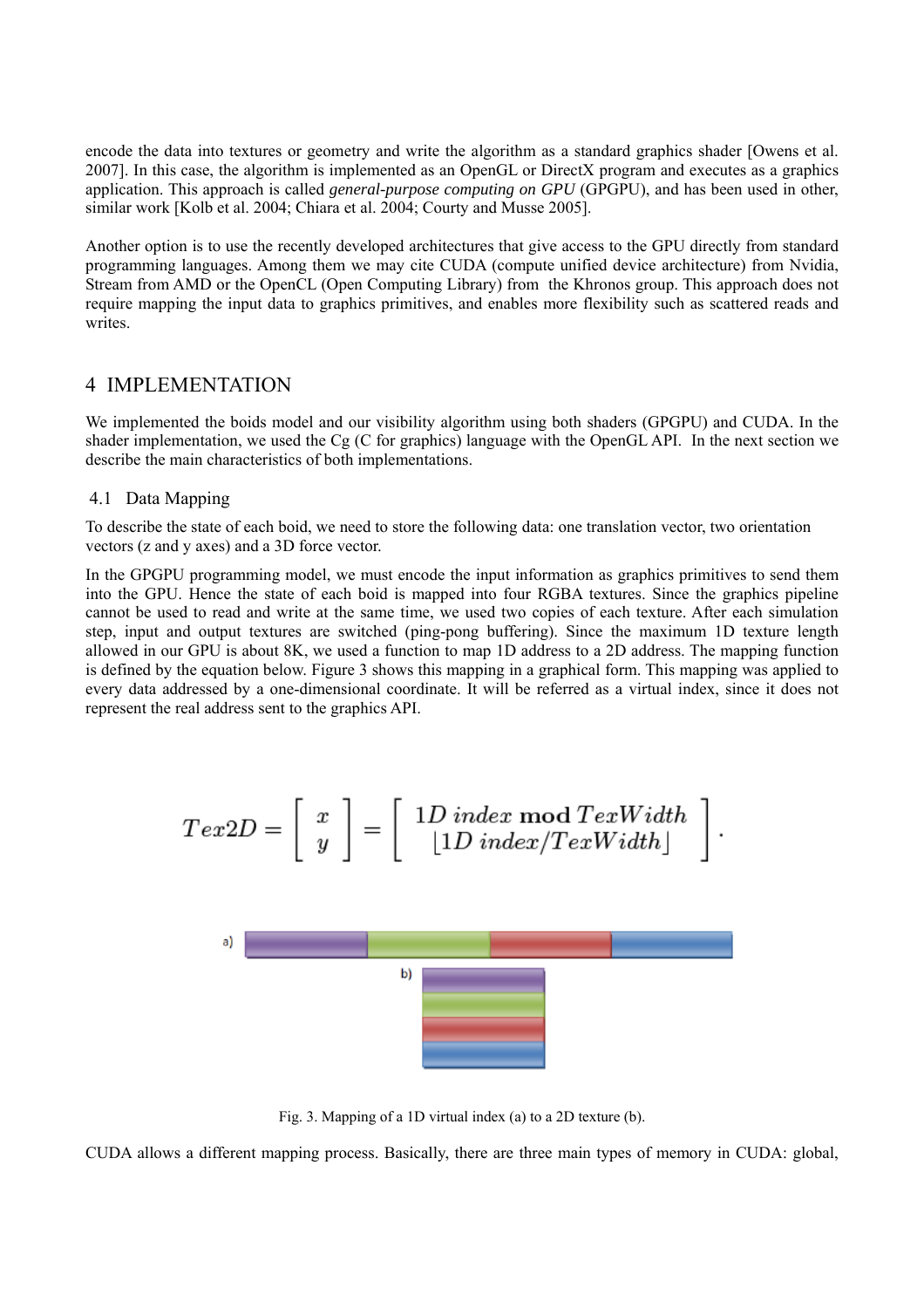encode the data into textures or geometry and write the algorithm as a standard graphics shader [Owens et al. 2007]. In this case, the algorithm is implemented as an OpenGL or DirectX program and executes as a graphics application. This approach is called *general-purpose computing on GPU* (GPGPU), and has been used in other, similar work [Kolb et al. 2004; Chiara et al. 2004; Courty and Musse 2005].

Another option is to use the recently developed architectures that give access to the GPU directly from standard programming languages. Among them we may cite CUDA (compute unified device architecture) from Nvidia, Stream from AMD or the OpenCL (Open Computing Library) from the Khronos group. This approach does not require mapping the input data to graphics primitives, and enables more flexibility such as scattered reads and writes.

### 4 IMPLEMENTATION

We implemented the boids model and our visibility algorithm using both shaders (GPGPU) and CUDA. In the shader implementation, we used the Cg (C for graphics) language with the OpenGL API. In the next section we describe the main characteristics of both implementations.

#### 4.1 Data Mapping

To describe the state of each boid, we need to store the following data: one translation vector, two orientation vectors (z and y axes) and a 3D force vector.

In the GPGPU programming model, we must encode the input information as graphics primitives to send them into the GPU. Hence the state of each boid is mapped into four RGBA textures. Since the graphics pipeline cannot be used to read and write at the same time, we used two copies of each texture. After each simulation step, input and output textures are switched (ping-pong buffering). Since the maximum 1D texture length allowed in our GPU is about 8K, we used a function to map 1D address to a 2D address. The mapping function is defined by the equation below. Figure 3 shows this mapping in a graphical form. This mapping was applied to every data addressed by a one-dimensional coordinate. It will be referred as a virtual index, since it does not represent the real address sent to the graphics API.

$$
Tex2D = \left[\begin{array}{c} x \\ y \end{array}\right] = \left[\begin{array}{c} 1D\text{ index mod }TexWidth \\ \lfloor 1D\text{ index}/TexWidth \rfloor \end{array}\right].
$$

Fig. 3. Mapping of a 1D virtual index (a) to a 2D texture (b).

CUDA allows a different mapping process. Basically, there are three main types of memory in CUDA: global,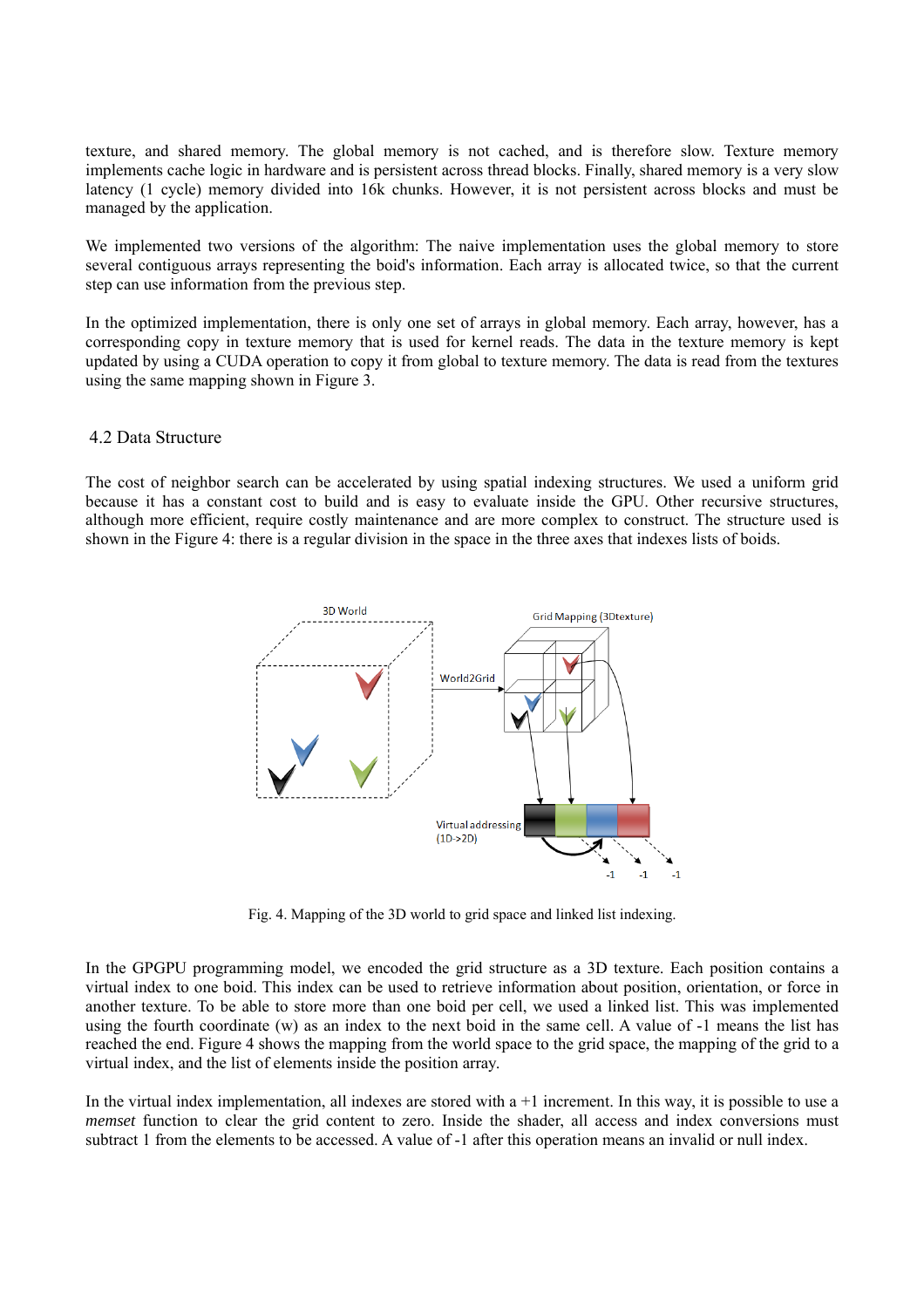texture, and shared memory. The global memory is not cached, and is therefore slow. Texture memory implements cache logic in hardware and is persistent across thread blocks. Finally, shared memory is a very slow latency (1 cycle) memory divided into 16k chunks. However, it is not persistent across blocks and must be managed by the application.

We implemented two versions of the algorithm: The naive implementation uses the global memory to store several contiguous arrays representing the boid's information. Each array is allocated twice, so that the current step can use information from the previous step.

In the optimized implementation, there is only one set of arrays in global memory. Each array, however, has a corresponding copy in texture memory that is used for kernel reads. The data in the texture memory is kept updated by using a CUDA operation to copy it from global to texture memory. The data is read from the textures using the same mapping shown in Figure 3.

#### 4.2 Data Structure

The cost of neighbor search can be accelerated by using spatial indexing structures. We used a uniform grid because it has a constant cost to build and is easy to evaluate inside the GPU. Other recursive structures, although more efficient, require costly maintenance and are more complex to construct. The structure used is shown in the Figure 4: there is a regular division in the space in the three axes that indexes lists of boids.



Fig. 4. Mapping of the 3D world to grid space and linked list indexing.

In the GPGPU programming model, we encoded the grid structure as a 3D texture. Each position contains a virtual index to one boid. This index can be used to retrieve information about position, orientation, or force in another texture. To be able to store more than one boid per cell, we used a linked list. This was implemented using the fourth coordinate (w) as an index to the next boid in the same cell. A value of -1 means the list has reached the end. Figure 4 shows the mapping from the world space to the grid space, the mapping of the grid to a virtual index, and the list of elements inside the position array.

In the virtual index implementation, all indexes are stored with  $a + 1$  increment. In this way, it is possible to use a *memset* function to clear the grid content to zero. Inside the shader, all access and index conversions must subtract 1 from the elements to be accessed. A value of -1 after this operation means an invalid or null index.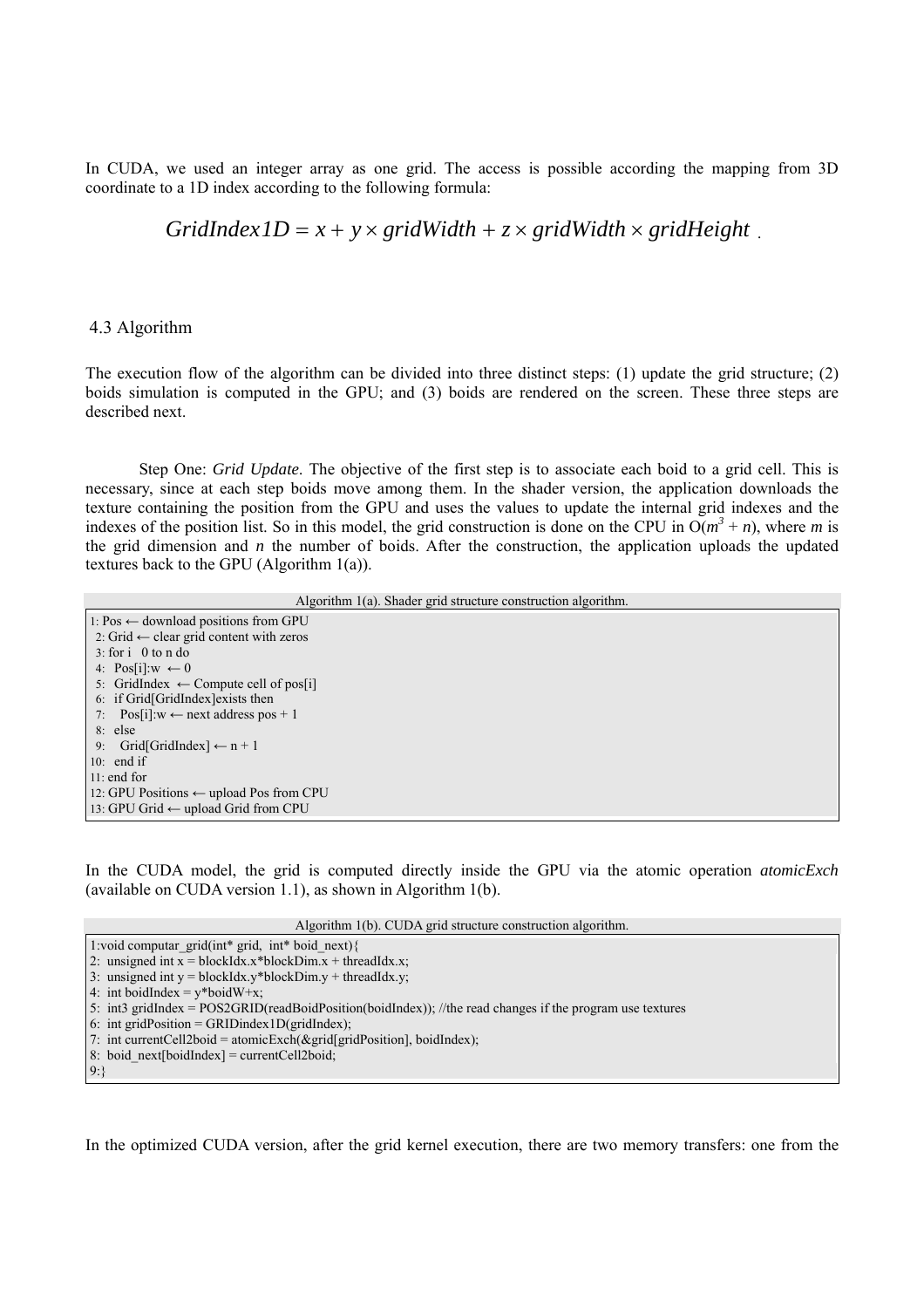In CUDA, we used an integer array as one grid. The access is possible according the mapping from 3D coordinate to a 1D index according to the following formula:

### $GridIndexID = x + y \times gridWidth + z \times gridWidth \times gridHeight$

#### 4.3 Algorithm

The execution flow of the algorithm can be divided into three distinct steps: (1) update the grid structure; (2) boids simulation is computed in the GPU; and (3) boids are rendered on the screen. These three steps are described next.

Step One: *Grid Update*. The objective of the first step is to associate each boid to a grid cell. This is necessary, since at each step boids move among them. In the shader version, the application downloads the texture containing the position from the GPU and uses the values to update the internal grid indexes and the indexes of the position list. So in this model, the grid construction is done on the CPU in  $O(m^3 + n)$ , where *m* is the grid dimension and *n* the number of boids. After the construction, the application uploads the updated textures back to the GPU (Algorithm 1(a)).

Algorithm 1(a). Shader grid structure construction algorithm.

| <i>Trigoriumi Tur. Shaaci gria su acture construction digoriumi.</i> |
|----------------------------------------------------------------------|
| 1: Pos ← download positions from GPU                                 |
| 2: Grid $\leftarrow$ clear grid content with zeros                   |
| $3:$ for $i \theta$ to n do                                          |
| 4: Pos[i]: $w \leftarrow 0$                                          |
| 5: GridIndex $\leftarrow$ Compute cell of pos <sup>[1]</sup>         |
| 6: if Grid[GridIndex] exists then                                    |
| 7: Pos[i]: $w \leftarrow$ next address pos + 1                       |
| $8:$ else                                                            |
| 9: Grid[GridIndex] $\leftarrow$ n + 1                                |
| 10: end if                                                           |
| $11:$ end for                                                        |
| 12: GPU Positions $\leftarrow$ upload Pos from CPU                   |
| 13: GPU Grid ← upload Grid from CPU                                  |
|                                                                      |

In the CUDA model, the grid is computed directly inside the GPU via the atomic operation *atomicExch*  (available on CUDA version 1.1), as shown in Algorithm 1(b).

Algorithm 1(b). CUDA grid structure construction algorithm.

- 3: unsigned int  $y = 5$  blockIdx.y\*blockDim.y + threadIdx.y;
- 4: int boidIndex =  $y*$ boidW+x;
- 5: int3 gridIndex = POS2GRID(readBoidPosition(boidIndex)); //the read changes if the program use textures

6: int gridPosition = GRIDindex1D(gridIndex);

- 7: int currentCell2boid = atomicExch( $\&$ grid[gridPosition], boidIndex);
- 8: boid  $next[boidIndex] = currentCell2boid;$

9:}

In the optimized CUDA version, after the grid kernel execution, there are two memory transfers: one from the

<sup>1:</sup>void computar\_grid(int\* grid, int\* boid\_next){

<sup>2:</sup> unsigned int  $\overline{x}$  = blockIdx.x\*blockDim.x + threadIdx.x;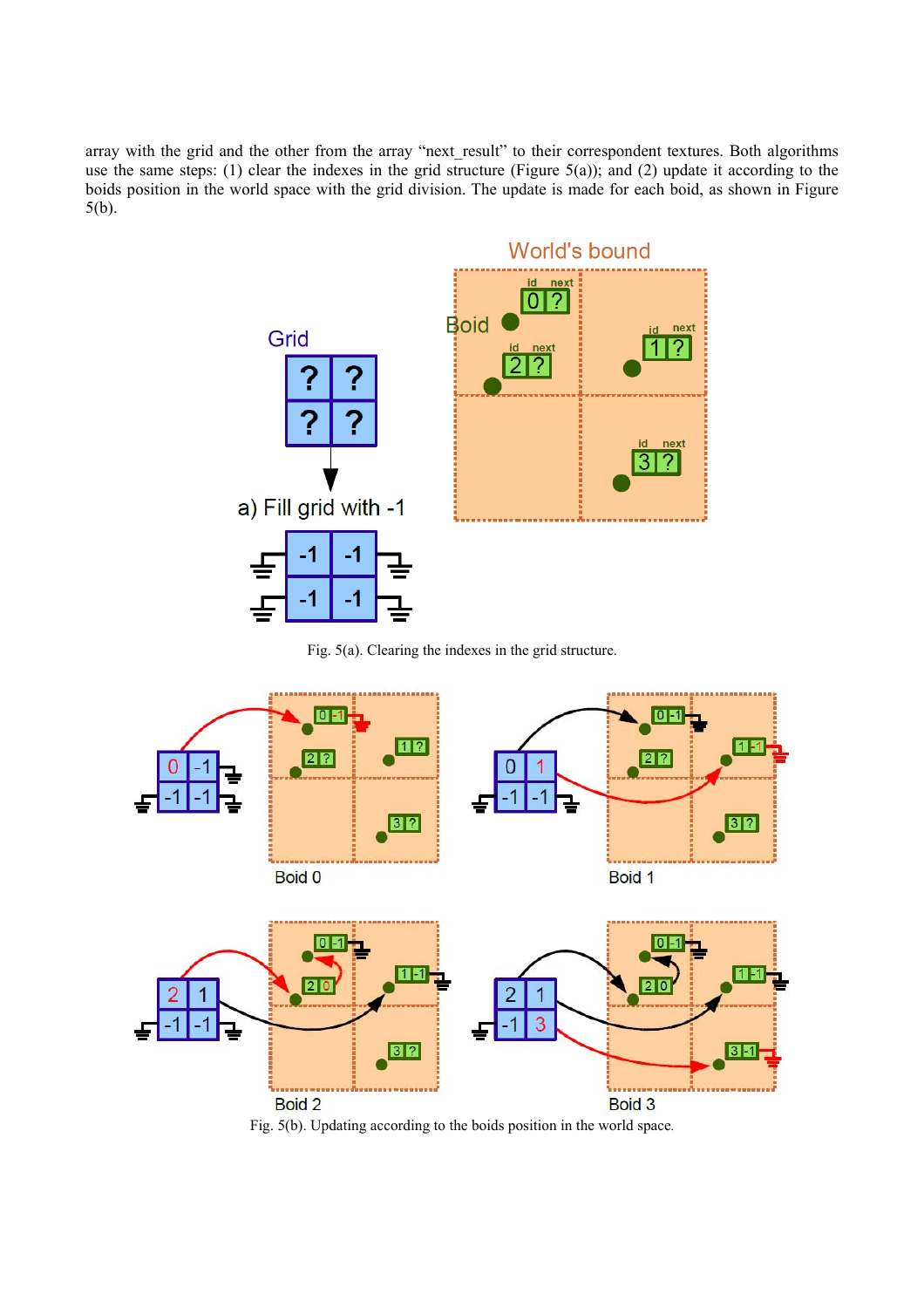array with the grid and the other from the array "next result" to their correspondent textures. Both algorithms use the same steps: (1) clear the indexes in the grid structure (Figure 5(a)); and (2) update it according to the boids position in the world space with the grid division. The update is made for each boid, as shown in Figure 5(b).



Fig. 5(a). Clearing the indexes in the grid structure.



Fig. 5(b). Updating according to the boids position in the world space.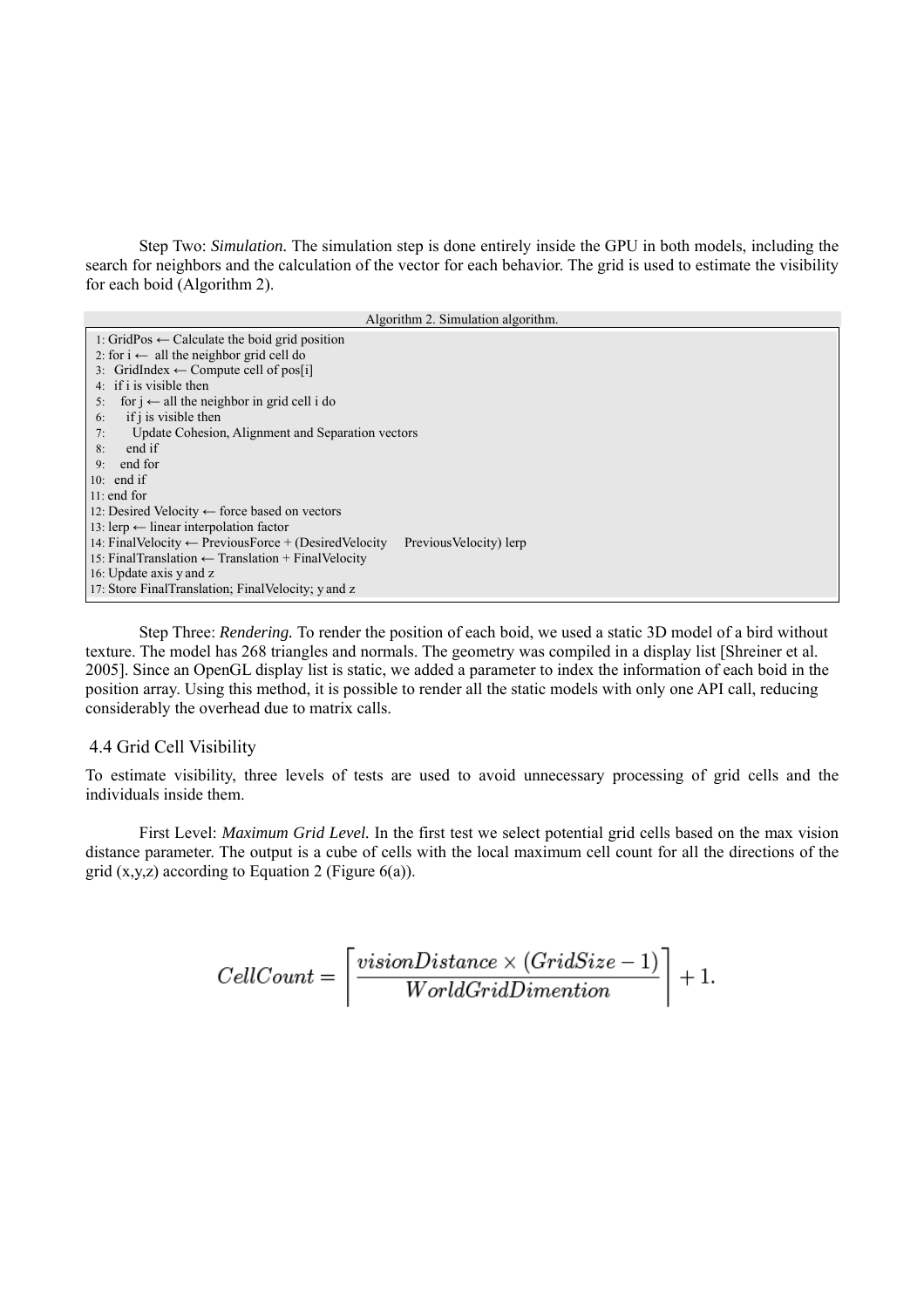Step Two: *Simulation.* The simulation step is done entirely inside the GPU in both models, including the search for neighbors and the calculation of the vector for each behavior. The grid is used to estimate the visibility for each boid (Algorithm 2).

| Algorithm 2. Simulation algorithm.                                                            |
|-----------------------------------------------------------------------------------------------|
| 1: GridPos ← Calculate the boid grid position                                                 |
| 2: for i $\leftarrow$ all the neighbor grid cell do                                           |
| 3: GridIndex $\leftarrow$ Compute cell of pos <sup>[1]</sup>                                  |
| 4: if i is visible then                                                                       |
| for $i \leftarrow$ all the neighbor in grid cell i do<br>5:                                   |
| if i is visible then<br>6:                                                                    |
| Update Cohesion, Alignment and Separation vectors<br>7:                                       |
| end if<br>8:                                                                                  |
| end for<br>9:                                                                                 |
| 10: end if                                                                                    |
| $11:$ end for                                                                                 |
| 12: Desired Velocity $\leftarrow$ force based on vectors                                      |
| 13: lerp ← linear interpolation factor                                                        |
| 14: Final Velocity $\leftarrow$ Previous Force + (Desired Velocity<br>Previous Velocity) lerp |
| 15: Final Translation $\leftarrow$ Translation + Final Velocity                               |
| 16: Update axis y and z                                                                       |
| 17: Store FinalTranslation; FinalVelocity; y and z                                            |

 Step Three: *Rendering.* To render the position of each boid, we used a static 3D model of a bird without texture. The model has 268 triangles and normals. The geometry was compiled in a display list [Shreiner et al. 2005]. Since an OpenGL display list is static, we added a parameter to index the information of each boid in the position array. Using this method, it is possible to render all the static models with only one API call, reducing considerably the overhead due to matrix calls.

#### 4.4 Grid Cell Visibility

To estimate visibility, three levels of tests are used to avoid unnecessary processing of grid cells and the individuals inside them.

 First Level: *Maximum Grid Level.* In the first test we select potential grid cells based on the max vision distance parameter. The output is a cube of cells with the local maximum cell count for all the directions of the grid  $(x,y,z)$  according to Equation 2 (Figure 6(a)).

$$
CellCount = \left\lceil \frac{visionDistance \times (GridSize - 1)}{WorldGridDimension} \right\rceil + 1.
$$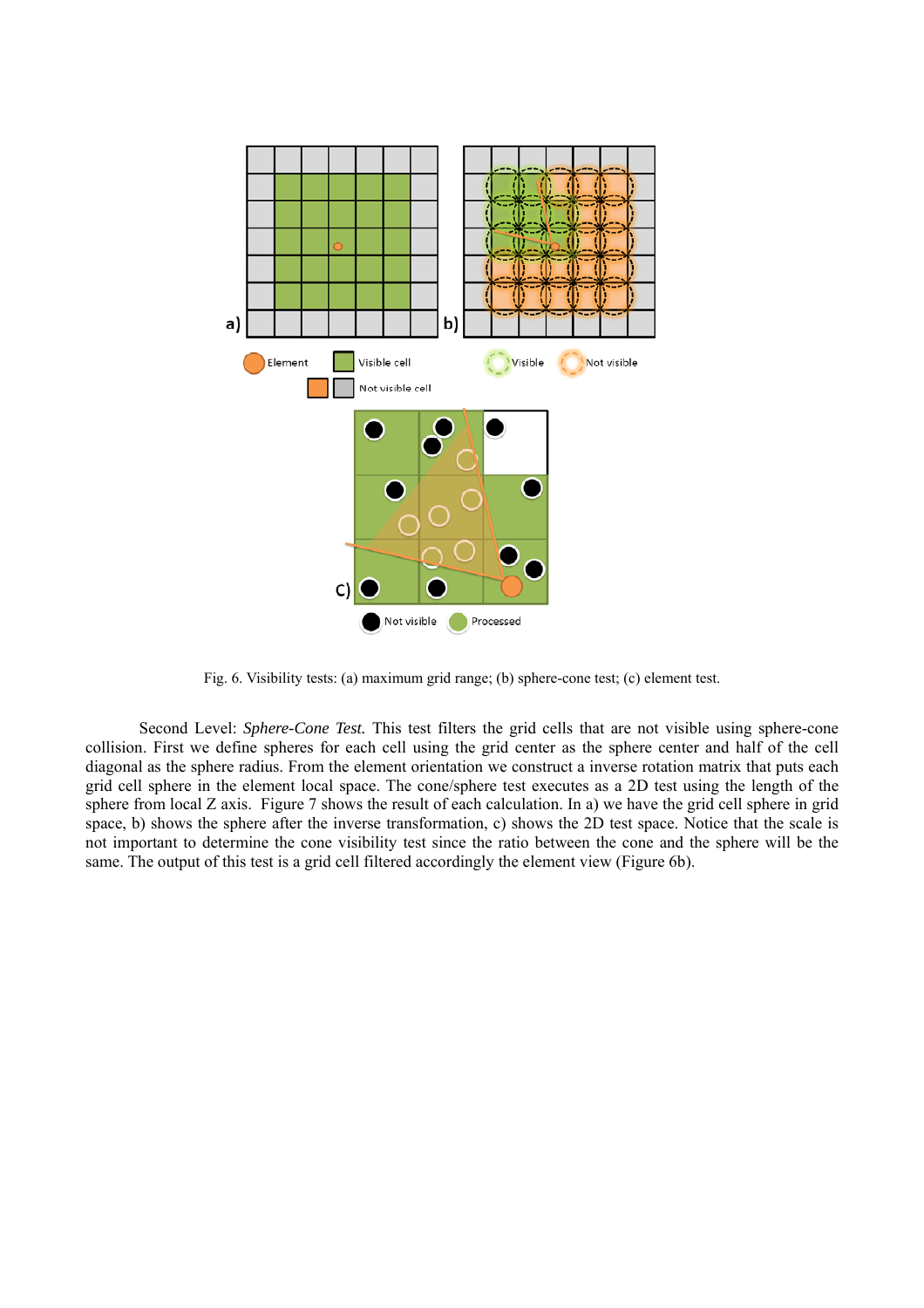

Fig. 6. Visibility tests: (a) maximum grid range; (b) sphere-cone test; (c) element test.

 Second Level: *Sphere-Cone Test.* This test filters the grid cells that are not visible using sphere-cone collision. First we define spheres for each cell using the grid center as the sphere center and half of the cell diagonal as the sphere radius. From the element orientation we construct a inverse rotation matrix that puts each grid cell sphere in the element local space. The cone/sphere test executes as a 2D test using the length of the sphere from local Z axis. Figure 7 shows the result of each calculation. In a) we have the grid cell sphere in grid space, b) shows the sphere after the inverse transformation, c) shows the 2D test space. Notice that the scale is not important to determine the cone visibility test since the ratio between the cone and the sphere will be the same. The output of this test is a grid cell filtered accordingly the element view (Figure 6b).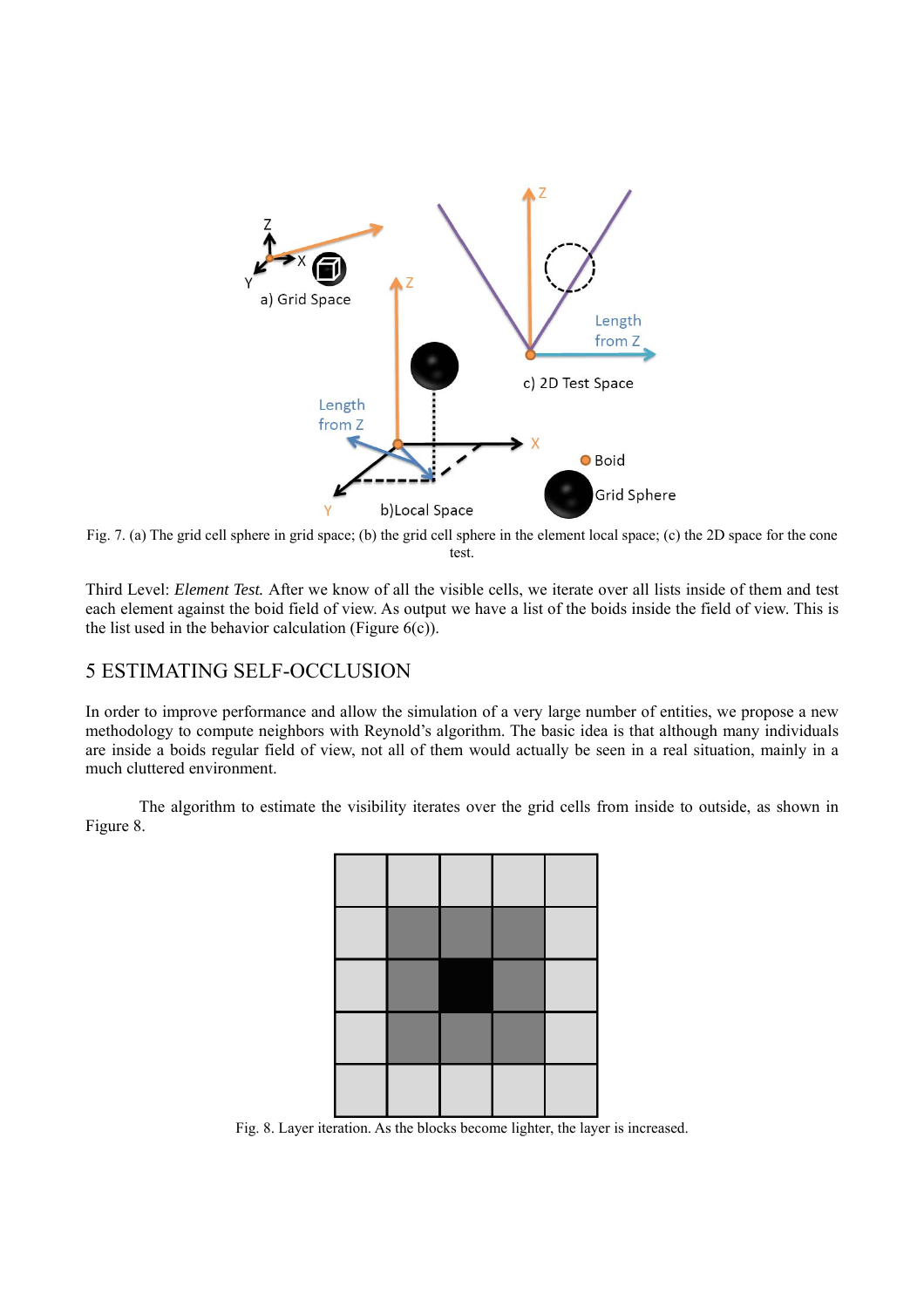

Fig. 7. (a) The grid cell sphere in grid space; (b) the grid cell sphere in the element local space; (c) the 2D space for the cone test.

Third Level: *Element Test.* After we know of all the visible cells, we iterate over all lists inside of them and test each element against the boid field of view. As output we have a list of the boids inside the field of view. This is the list used in the behavior calculation (Figure  $6(c)$ ).

# 5 ESTIMATING SELF-OCCLUSION

In order to improve performance and allow the simulation of a very large number of entities, we propose a new methodology to compute neighbors with Reynold's algorithm. The basic idea is that although many individuals are inside a boids regular field of view, not all of them would actually be seen in a real situation, mainly in a much cluttered environment.

 The algorithm to estimate the visibility iterates over the grid cells from inside to outside, as shown in Figure 8.



Fig. 8. Layer iteration. As the blocks become lighter, the layer is increased.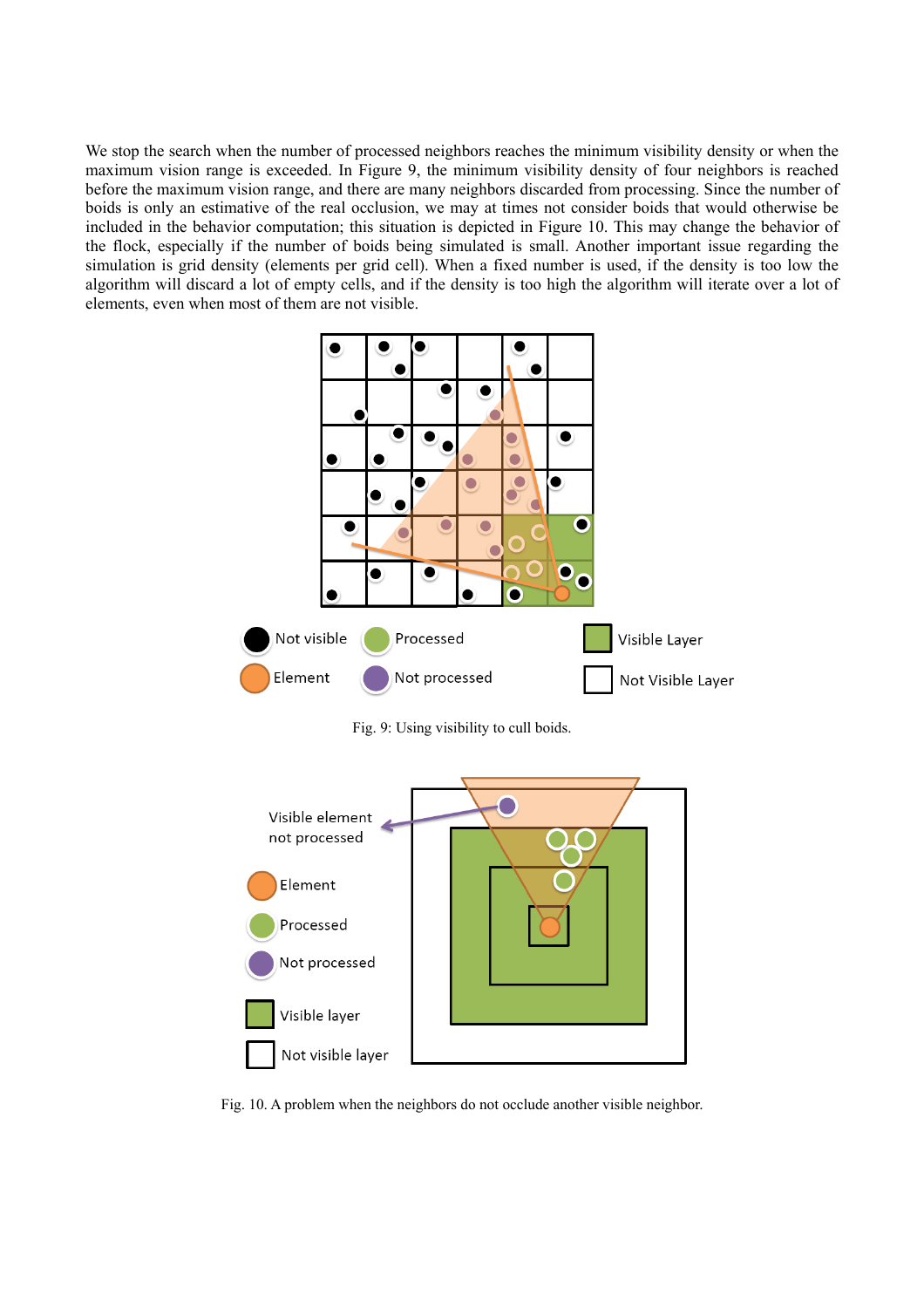We stop the search when the number of processed neighbors reaches the minimum visibility density or when the maximum vision range is exceeded. In Figure 9, the minimum visibility density of four neighbors is reached before the maximum vision range, and there are many neighbors discarded from processing. Since the number of boids is only an estimative of the real occlusion, we may at times not consider boids that would otherwise be included in the behavior computation; this situation is depicted in Figure 10. This may change the behavior of the flock, especially if the number of boids being simulated is small. Another important issue regarding the simulation is grid density (elements per grid cell). When a fixed number is used, if the density is too low the algorithm will discard a lot of empty cells, and if the density is too high the algorithm will iterate over a lot of elements, even when most of them are not visible.



Fig. 9: Using visibility to cull boids.



Fig. 10. A problem when the neighbors do not occlude another visible neighbor.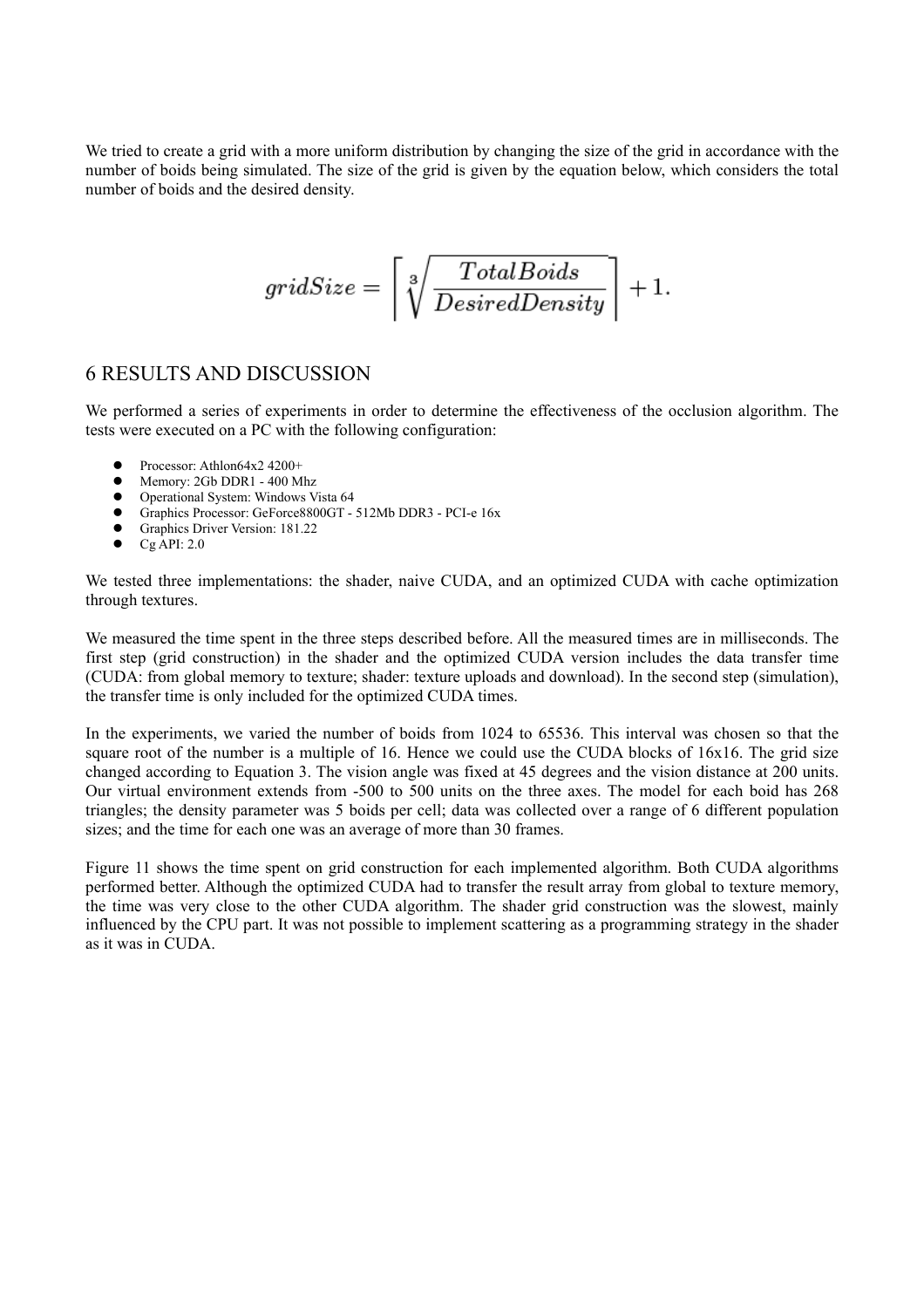We tried to create a grid with a more uniform distribution by changing the size of the grid in accordance with the number of boids being simulated. The size of the grid is given by the equation below, which considers the total number of boids and the desired density.

$$
gridSize = \left\lceil \sqrt[3]{\frac{TotalBoids}{DesiredDensity}} \right\rceil + 1.
$$

## 6 RESULTS AND DISCUSSION

We performed a series of experiments in order to determine the effectiveness of the occlusion algorithm. The tests were executed on a PC with the following configuration:

- $\bullet$  Processor: Athlon64x2 4200+
- Memory: 2Gb DDR1 400 Mhz
- Operational System: Windows Vista 64
- z Graphics Processor: GeForce8800GT 512Mb DDR3 PCI-e 16x
- Graphics Driver Version: 181.22
- $\bullet$  Cg API: 2.0

We tested three implementations: the shader, naive CUDA, and an optimized CUDA with cache optimization through textures.

We measured the time spent in the three steps described before. All the measured times are in milliseconds. The first step (grid construction) in the shader and the optimized CUDA version includes the data transfer time (CUDA: from global memory to texture; shader: texture uploads and download). In the second step (simulation), the transfer time is only included for the optimized CUDA times.

In the experiments, we varied the number of boids from 1024 to 65536. This interval was chosen so that the square root of the number is a multiple of 16. Hence we could use the CUDA blocks of 16x16. The grid size changed according to Equation 3. The vision angle was fixed at 45 degrees and the vision distance at 200 units. Our virtual environment extends from -500 to 500 units on the three axes. The model for each boid has 268 triangles; the density parameter was 5 boids per cell; data was collected over a range of 6 different population sizes; and the time for each one was an average of more than 30 frames.

Figure 11 shows the time spent on grid construction for each implemented algorithm. Both CUDA algorithms performed better. Although the optimized CUDA had to transfer the result array from global to texture memory, the time was very close to the other CUDA algorithm. The shader grid construction was the slowest, mainly influenced by the CPU part. It was not possible to implement scattering as a programming strategy in the shader as it was in CUDA.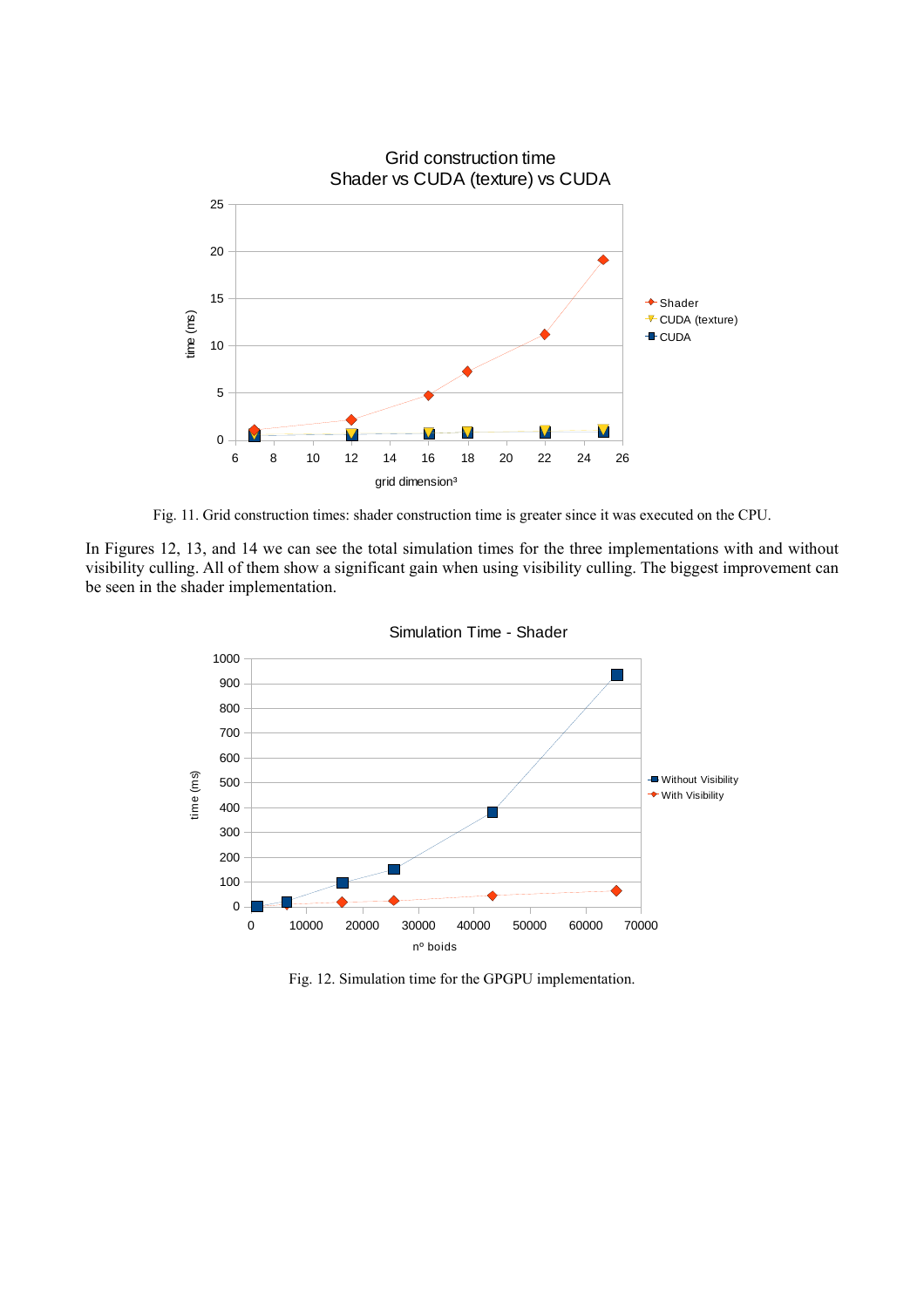

Fig. 11. Grid construction times: shader construction time is greater since it was executed on the CPU.

In Figures 12, 13, and 14 we can see the total simulation times for the three implementations with and without visibility culling. All of them show a significant gain when using visibility culling. The biggest improvement can be seen in the shader implementation.



Simulation Time - Shader

Fig. 12. Simulation time for the GPGPU implementation.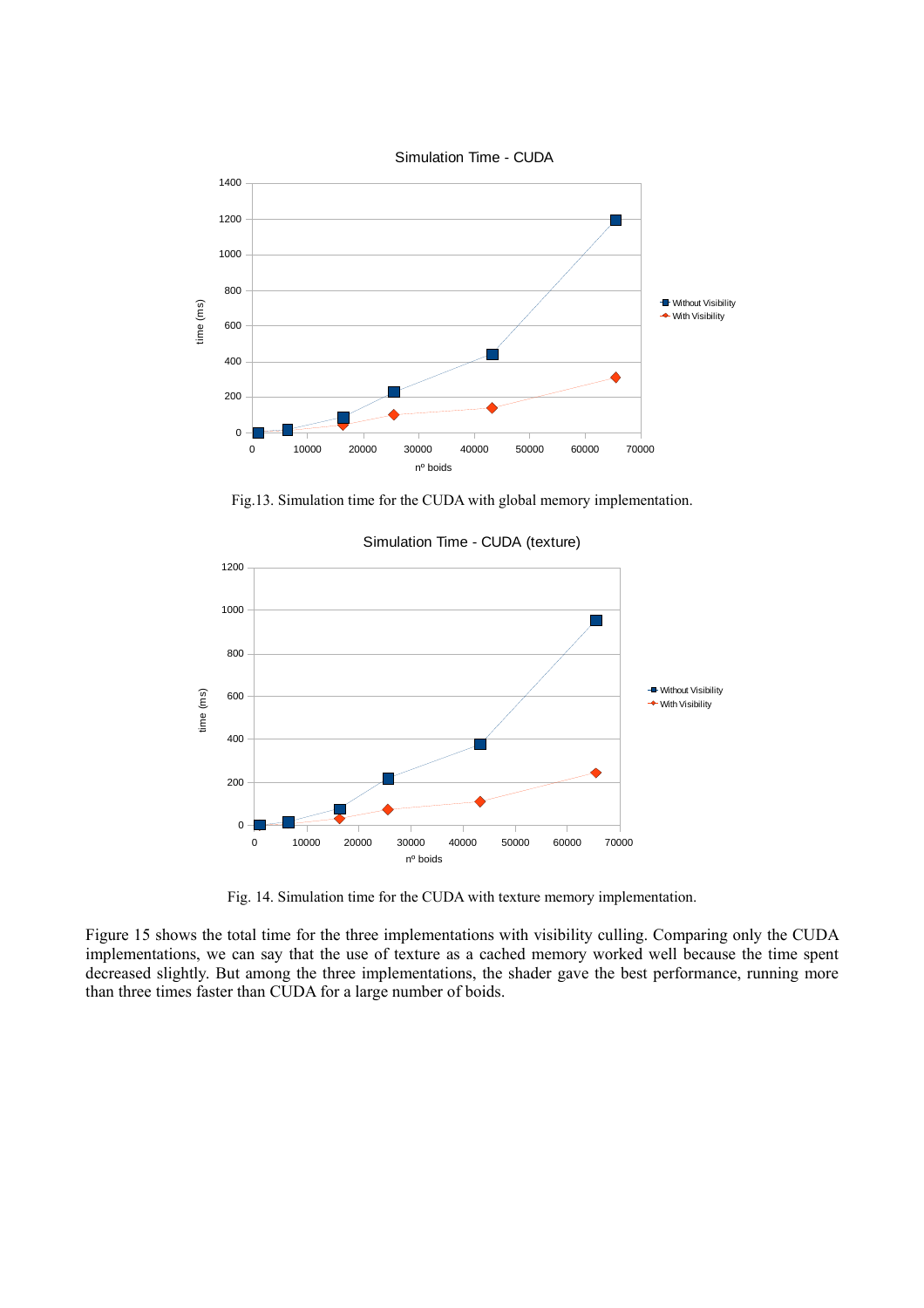

Fig.13. Simulation time for the CUDA with global memory implementation.



Simulation Time - CUDA (texture)

Fig. 14. Simulation time for the CUDA with texture memory implementation.

Figure 15 shows the total time for the three implementations with visibility culling. Comparing only the CUDA implementations, we can say that the use of texture as a cached memory worked well because the time spent decreased slightly. But among the three implementations, the shader gave the best performance, running more than three times faster than CUDA for a large number of boids.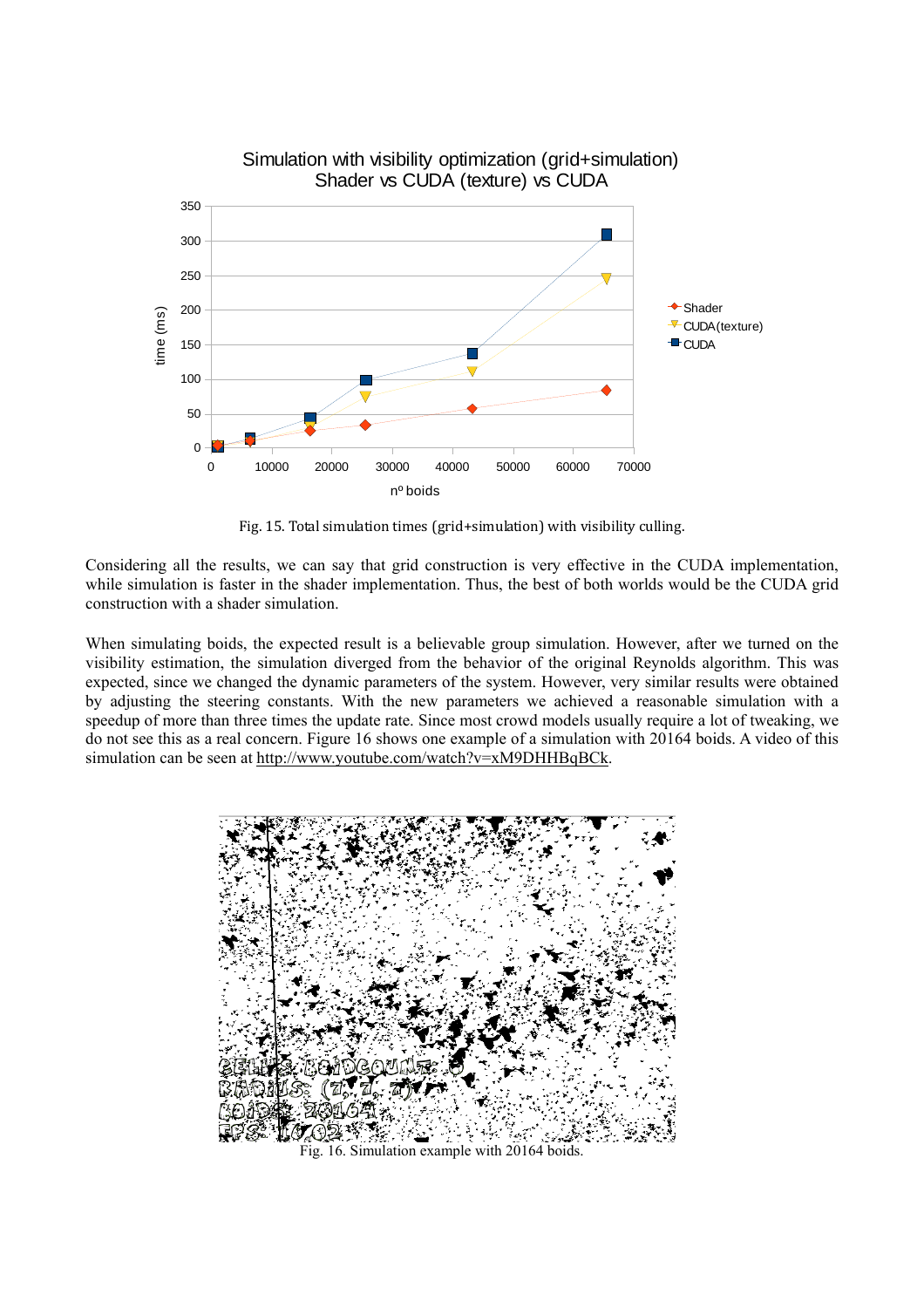

Fig. 15. Total simulation times (grid+simulation) with visibility culling.

Considering all the results, we can say that grid construction is very effective in the CUDA implementation, while simulation is faster in the shader implementation. Thus, the best of both worlds would be the CUDA grid construction with a shader simulation.

When simulating boids, the expected result is a believable group simulation. However, after we turned on the visibility estimation, the simulation diverged from the behavior of the original Reynolds algorithm. This was expected, since we changed the dynamic parameters of the system. However, very similar results were obtained by adjusting the steering constants. With the new parameters we achieved a reasonable simulation with a speedup of more than three times the update rate. Since most crowd models usually require a lot of tweaking, we do not see this as a real concern. Figure 16 shows one example of a simulation with 20164 boids. A video of this simulation can be seen at http://www.youtube.com/watch?v=xM9DHHBqBCk.



Fig. 16. Simulation example with 20164 boids.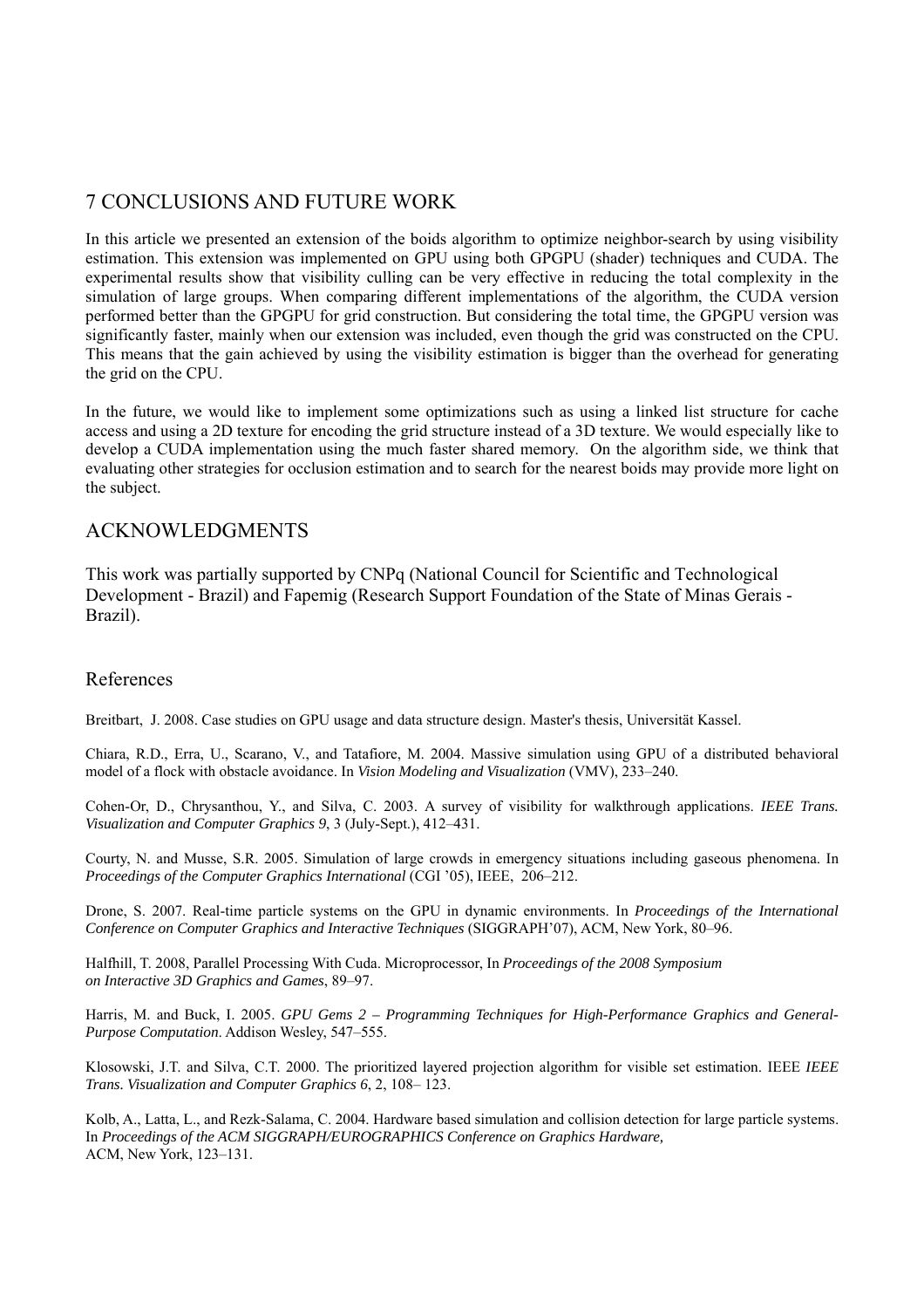# 7 CONCLUSIONS AND FUTURE WORK

In this article we presented an extension of the boids algorithm to optimize neighbor-search by using visibility estimation. This extension was implemented on GPU using both GPGPU (shader) techniques and CUDA. The experimental results show that visibility culling can be very effective in reducing the total complexity in the simulation of large groups. When comparing different implementations of the algorithm, the CUDA version performed better than the GPGPU for grid construction. But considering the total time, the GPGPU version was significantly faster, mainly when our extension was included, even though the grid was constructed on the CPU. This means that the gain achieved by using the visibility estimation is bigger than the overhead for generating the grid on the CPU.

In the future, we would like to implement some optimizations such as using a linked list structure for cache access and using a 2D texture for encoding the grid structure instead of a 3D texture. We would especially like to develop a CUDA implementation using the much faster shared memory. On the algorithm side, we think that evaluating other strategies for occlusion estimation and to search for the nearest boids may provide more light on the subject.

### ACKNOWLEDGMENTS

This work was partially supported by CNPq (National Council for Scientific and Technological Development - Brazil) and Fapemig (Research Support Foundation of the State of Minas Gerais - Brazil).

### References

Breitbart, J. 2008. Case studies on GPU usage and data structure design. Master's thesis, Universität Kassel.

Chiara, R.D., Erra, U., Scarano, V., and Tatafiore, M. 2004. Massive simulation using GPU of a distributed behavioral model of a flock with obstacle avoidance. In *Vision Modeling and Visualization* (VMV), 233–240.

Cohen-Or, D., Chrysanthou, Y., and Silva, C. 2003. A survey of visibility for walkthrough applications. *IEEE Trans. Visualization and Computer Graphics 9*, 3 (July-Sept.), 412–431.

Courty, N. and Musse, S.R. 2005. Simulation of large crowds in emergency situations including gaseous phenomena. In *Proceedings of the Computer Graphics International* (CGI '05), IEEE, 206–212.

Drone, S. 2007. Real-time particle systems on the GPU in dynamic environments. In *Proceedings of the International Conference on Computer Graphics and Interactive Techniques* (SIGGRAPH'07), ACM, New York, 80–96.

Halfhill, T. 2008, Parallel Processing With Cuda. Microprocessor, In *Proceedings of the 2008 Symposium on Interactive 3D Graphics and Games*, 89–97.

Harris, M. and Buck, I. 2005. *GPU Gems 2 – Programming Techniques for High-Performance Graphics and General-Purpose Computation*. Addison Wesley, 547–555.

Klosowski, J.T. and Silva, C.T. 2000. The prioritized layered projection algorithm for visible set estimation. IEEE *IEEE Trans. Visualization and Computer Graphics 6*, 2, 108– 123.

Kolb, A., Latta, L., and Rezk-Salama, C. 2004. Hardware based simulation and collision detection for large particle systems. In *Proceedings of the ACM SIGGRAPH/EUROGRAPHICS Conference on Graphics Hardware,* ACM, New York, 123–131.